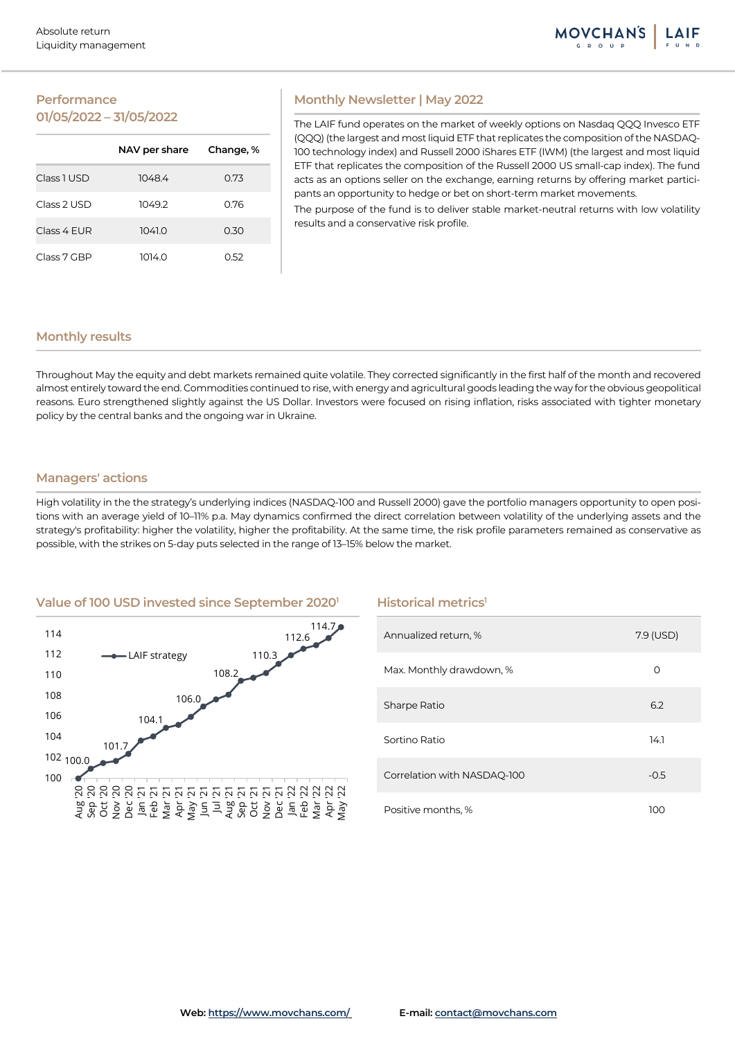## **Performance 01/05/2022 – 31/05/2022**

|             | NAV per share | Change, % |
|-------------|---------------|-----------|
| Class 1 USD | 1048.4        | 0.73      |
| Class 2 USD | 1049.2        | 0.76      |
| Class 4 FUR | 1041.0        | 0.30      |
| Class 7 GBP | 1014.0        | N 52      |

## **Monthly Newsletter | May 2022**

The LAIF fund operates on the market of weekly options on Nasdaq QQQ Invesco ETF (QQQ) (the largest and most liquid ETF that replicates the composition of the NASDAQ-100 technology index) and Russell 2000 iShares ETF (IWM) (the largest and most liquid ETF that replicates the composition of the Russell 2000 US small-cap index). The fund acts as an options seller on the exchange, earning returns by offering market participants an opportunity to hedge or bet on short-term market movements.

The purpose of the fund is to deliver stable market-neutral returns with low volatility results and a conservative risk profile.

## **Monthly results**

Throughout May the equity and debt markets remained quite volatile. They corrected significantly in the first half of the month and recovered almost entirely toward the end. Commodities continued to rise, with energy and agricultural goods leading the way for the obvious geopolitical reasons. Euro strengthened slightly against the US Dollar. Investors were focused on rising inflation, risks associated with tighter monetary policy by the central banks and the ongoing war in Ukraine.

## **Managers' actions**

High volatility in the the strategy's underlying indices (NASDAQ-100 and Russell 2000) gave the portfolio managers opportunity to open positions with an average yield of 10–11% p.a. May dynamics confirmed the direct correlation between volatility of the underlying assets and the strategy's profitability: higher the volatility, higher the profitability. At the same time, the risk profile parameters remained as conservative as possible, with the strikes on 5-day puts selected in the range of 13–15% below the market.

## **Value of 100 USD invested since September 20201 Historical metrics1**



| Annualized return, %        | 7.9 (USD) |
|-----------------------------|-----------|
| Max. Monthly drawdown, %    | O         |
| Sharpe Ratio                | 6.2       |
| Sortino Ratio               | 14.1      |
| Correlation with NASDAQ-100 | $-0.5$    |
| Positive months, %          | 100       |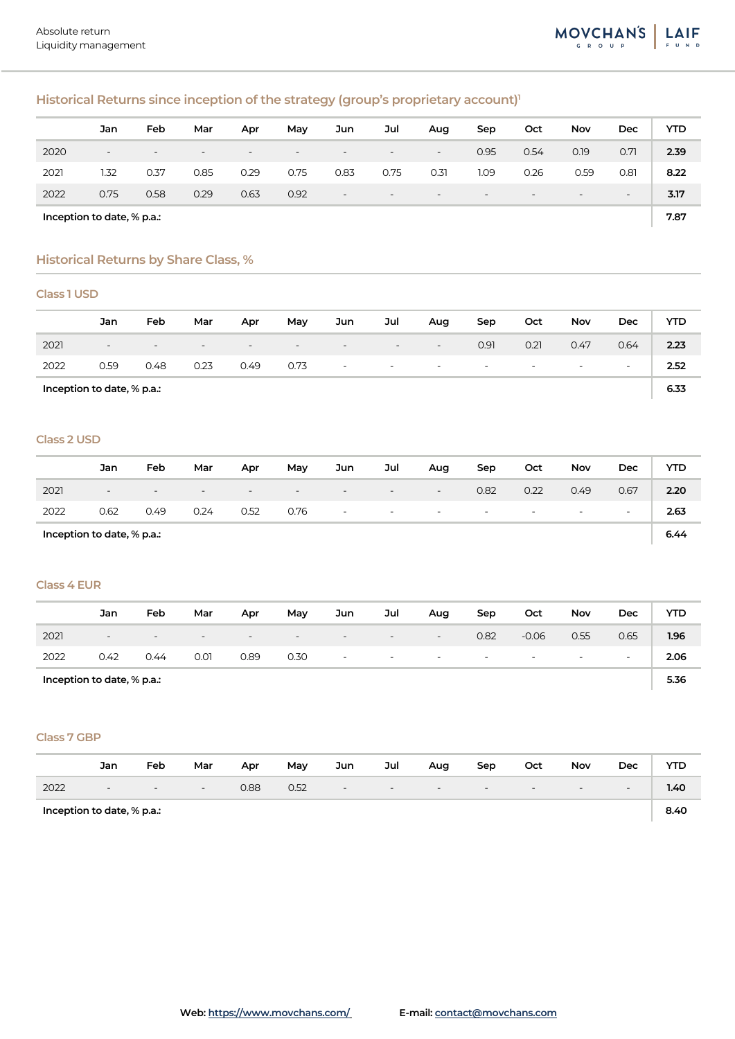# **Historical Returns since inception of the strategy (group's proprietary account)1**

|                            | Jan                      | Feb                      | Mar                      | Apr                      | May  | Jun                      | Jul                      | Aug                      | Sep                      | Oct                      | Nov                      | Dec                      | YTD  |
|----------------------------|--------------------------|--------------------------|--------------------------|--------------------------|------|--------------------------|--------------------------|--------------------------|--------------------------|--------------------------|--------------------------|--------------------------|------|
| 2020                       | $\overline{\phantom{a}}$ | $\overline{\phantom{0}}$ | $\overline{\phantom{0}}$ | $\overline{\phantom{0}}$ | $-$  | $\overline{\phantom{0}}$ | $\overline{\phantom{0}}$ | $\sim$                   | 0.95                     | 0.54                     | 0.19                     | 0.71                     | 2.39 |
| 2021                       | 1.32                     | 0.37                     | 0.85                     | 0.29                     | 0.75 | 0.83                     | 0.75                     | 0.31                     | 1.09                     | 0.26                     | 0.59                     | 0.81                     | 8.22 |
| 2022                       | 0.75                     | 0.58                     | 0.29                     | 0.63                     | 0.92 | $\overline{\phantom{0}}$ | $\overline{\phantom{0}}$ | $\overline{\phantom{0}}$ | $\overline{\phantom{0}}$ | $\overline{\phantom{0}}$ | $\overline{\phantom{0}}$ | $\overline{\phantom{a}}$ | 3.17 |
| Inception to date, % p.a.: |                          |                          |                          |                          |      |                          |                          |                          |                          | 7.87                     |                          |                          |      |

## **Historical Returns by Share Class, %**

## **Class 1 USD**

|                            | Jan                      | Feb    | Mar                      | Apr                      | May                      | Jun                      | Jul                      | Aug                      | Sep                      | Oct                      | Nov                      | Dec                      | <b>YTD</b> |
|----------------------------|--------------------------|--------|--------------------------|--------------------------|--------------------------|--------------------------|--------------------------|--------------------------|--------------------------|--------------------------|--------------------------|--------------------------|------------|
| 2021                       | $\overline{\phantom{0}}$ | $\sim$ | $\overline{\phantom{0}}$ | $\overline{\phantom{0}}$ | $\overline{\phantom{a}}$ | $-$                      | $\sim$                   | $\overline{\phantom{a}}$ | 0.91                     | 0.21                     | 0.47                     | 0.64                     | 2.23       |
| 2022                       | 0.59                     | 0.48   | 0.23                     | 0.49                     | 0.73                     | $\overline{\phantom{a}}$ | $\overline{\phantom{a}}$ | $\sim$                   | $\overline{\phantom{0}}$ | $\overline{\phantom{0}}$ | $\overline{\phantom{a}}$ | $\overline{\phantom{a}}$ | 2.52       |
| Inception to date, % p.a.: |                          |        |                          |                          |                          |                          |                          |                          |                          | 6.33                     |                          |                          |            |

#### **Class 2 USD**

|                            | Jan                      | Feb                      | Mar    | Apr                      | Mav    | Jun                      | Jul                      | Aug                           | Sep                | Oct                             | <b>Nov</b> | Dec    | <b>YTD</b> |
|----------------------------|--------------------------|--------------------------|--------|--------------------------|--------|--------------------------|--------------------------|-------------------------------|--------------------|---------------------------------|------------|--------|------------|
| 2021                       | $\overline{\phantom{a}}$ | $\overline{\phantom{0}}$ | $\sim$ | $\overline{\phantom{0}}$ | $\sim$ | $\overline{\phantom{0}}$ | $-$                      | $\overline{\phantom{a}}$      | 0.82               | 0.22                            | 0.49       | 0.67   | 2.20       |
| 2022                       | 0.62                     | 0.49                     | 0.24   | 0.52                     | 0.76   | $\sim$                   | <b>Contract Contract</b> | the company of the company of | <b>State State</b> | the company's company's program |            | $\sim$ | 2.63       |
| Inception to date, % p.a.: |                          |                          |        |                          |        |                          |                          |                               |                    | 6.44                            |            |        |            |

## **Class 4 EUR**

|                            | Jan                      | Feb                      | Mar                      | Apr    | May                      | Jun                      | Jul                      | Aug                      | Sep                      | Oct                      | Nov                      | Dec                      | YTD  |
|----------------------------|--------------------------|--------------------------|--------------------------|--------|--------------------------|--------------------------|--------------------------|--------------------------|--------------------------|--------------------------|--------------------------|--------------------------|------|
| 2021                       | $\overline{\phantom{0}}$ | $\overline{\phantom{0}}$ | $\overline{\phantom{0}}$ | $\sim$ | $\overline{\phantom{0}}$ | $\overline{\phantom{0}}$ | $\overline{\phantom{0}}$ | $\overline{\phantom{0}}$ | 0.82                     | $-0.06$                  | 0.55                     | 0.65                     | 1.96 |
| 2022                       | 0.42                     | 0.44                     | 0.01                     | 0.89   | 0.30                     | $\overline{\phantom{a}}$ | $\overline{\phantom{0}}$ | $\sim$                   | $\overline{\phantom{a}}$ | $\overline{\phantom{0}}$ | $\overline{\phantom{0}}$ | $\overline{\phantom{a}}$ | 2.06 |
| Inception to date, % p.a.: |                          |                          |                          |        |                          |                          |                          |                          |                          | 5.36                     |                          |                          |      |

#### **Class 7 GBP**

|                            | Jan | Feb    | Mar                      | Apr  | May  | Jun                      | Jul    | Aug | Sep    | Oct                      | <b>Nov</b> | Dec    | YTD  |
|----------------------------|-----|--------|--------------------------|------|------|--------------------------|--------|-----|--------|--------------------------|------------|--------|------|
| 2022                       | $-$ | $\sim$ | $\overline{\phantom{a}}$ | 0.88 | 0.52 | $\overline{\phantom{a}}$ | $\sim$ | $-$ | $\sim$ | $\overline{\phantom{a}}$ | $\sim$     | $\sim$ | 1.40 |
| Inception to date, % p.a.: |     |        |                          |      |      |                          |        |     |        | 8.40                     |            |        |      |